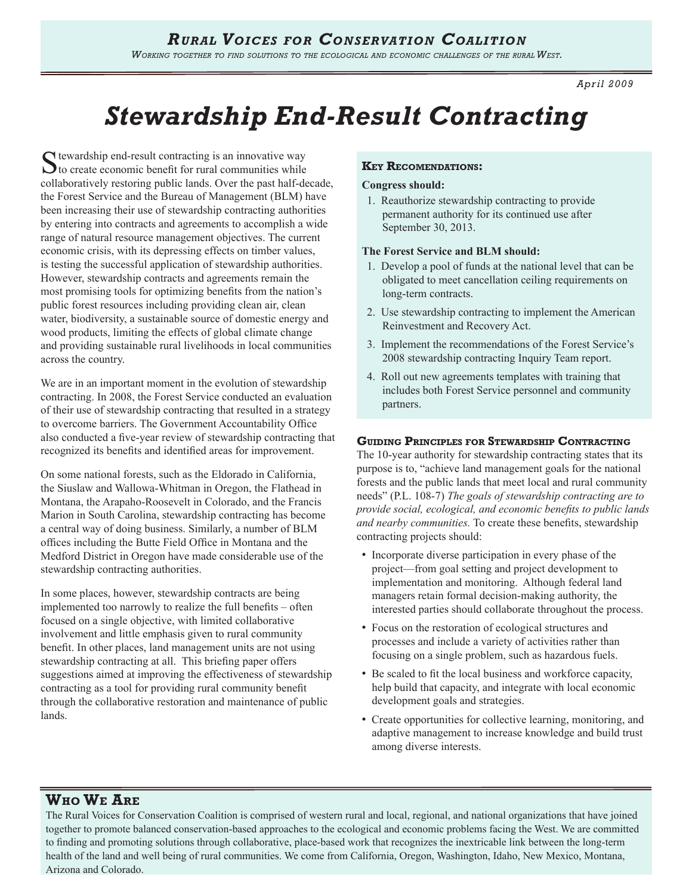*April 2009*

# *Stewardship End-Result Contracting*

 $\Gamma$  tewardship end-result contracting is an innovative way  $\sum$  to create economic benefit for rural communities while collaboratively restoring public lands. Over the past half-decade, the Forest Service and the Bureau of Management (BLM) have been increasing their use of stewardship contracting authorities by entering into contracts and agreements to accomplish a wide range of natural resource management objectives. The current economic crisis, with its depressing effects on timber values, is testing the successful application of stewardship authorities. However, stewardship contracts and agreements remain the most promising tools for optimizing benefits from the nation's public forest resources including providing clean air, clean water, biodiversity, a sustainable source of domestic energy and wood products, limiting the effects of global climate change and providing sustainable rural livelihoods in local communities across the country.

We are in an important moment in the evolution of stewardship contracting. In 2008, the Forest Service conducted an evaluation of their use of stewardship contracting that resulted in a strategy to overcome barriers. The Government Accountability Office also conducted a five-year review of stewardship contracting that recognized its benefits and identified areas for improvement.

On some national forests, such as the Eldorado in California, the Siuslaw and Wallowa-Whitman in Oregon, the Flathead in Montana, the Arapaho-Roosevelt in Colorado, and the Francis Marion in South Carolina, stewardship contracting has become a central way of doing business. Similarly, a number of BLM offices including the Butte Field Office in Montana and the Medford District in Oregon have made considerable use of the stewardship contracting authorities.

In some places, however, stewardship contracts are being implemented too narrowly to realize the full benefits – often focused on a single objective, with limited collaborative involvement and little emphasis given to rural community benefit. In other places, land management units are not using stewardship contracting at all. This briefing paper offers suggestions aimed at improving the effectiveness of stewardship contracting as a tool for providing rural community benefit through the collaborative restoration and maintenance of public lands.

# **Key Recomendations:**

## **Congress should:**

1. Reauthorize stewardship contracting to provide permanent authority for its continued use after September 30, 2013.

## **The Forest Service and BLM should:**

- 1. Develop a pool of funds at the national level that can be obligated to meet cancellation ceiling requirements on long-term contracts.
- 2. Use stewardship contracting to implement the American Reinvestment and Recovery Act.
- 3. Implement the recommendations of the Forest Service's 2008 stewardship contracting Inquiry Team report.
- 4. Roll out new agreements templates with training that includes both Forest Service personnel and community partners.

# **Guiding Principles for Stewardship Contracting**

The 10-year authority for stewardship contracting states that its purpose is to, "achieve land management goals for the national forests and the public lands that meet local and rural community needs" (P.L. 108-7) *The goals of stewardship contracting are to provide social, ecological, and economic benefits to public lands and nearby communities.* To create these benefits, stewardship contracting projects should:

- Incorporate diverse participation in every phase of the project—from goal setting and project development to implementation and monitoring. Although federal land managers retain formal decision-making authority, the interested parties should collaborate throughout the process.
- Focus on the restoration of ecological structures and processes and include a variety of activities rather than focusing on a single problem, such as hazardous fuels.
- Be scaled to fit the local business and workforce capacity, help build that capacity, and integrate with local economic development goals and strategies.
- Create opportunities for collective learning, monitoring, and adaptive management to increase knowledge and build trust among diverse interests.

# **Who We Are**

The Rural Voices for Conservation Coalition is comprised of western rural and local, regional, and national organizations that have joined together to promote balanced conservation-based approaches to the ecological and economic problems facing the West. We are committed to finding and promoting solutions through collaborative, place-based work that recognizes the inextricable link between the long-term health of the land and well being of rural communities. We come from California, Oregon, Washington, Idaho, New Mexico, Montana, Arizona and Colorado.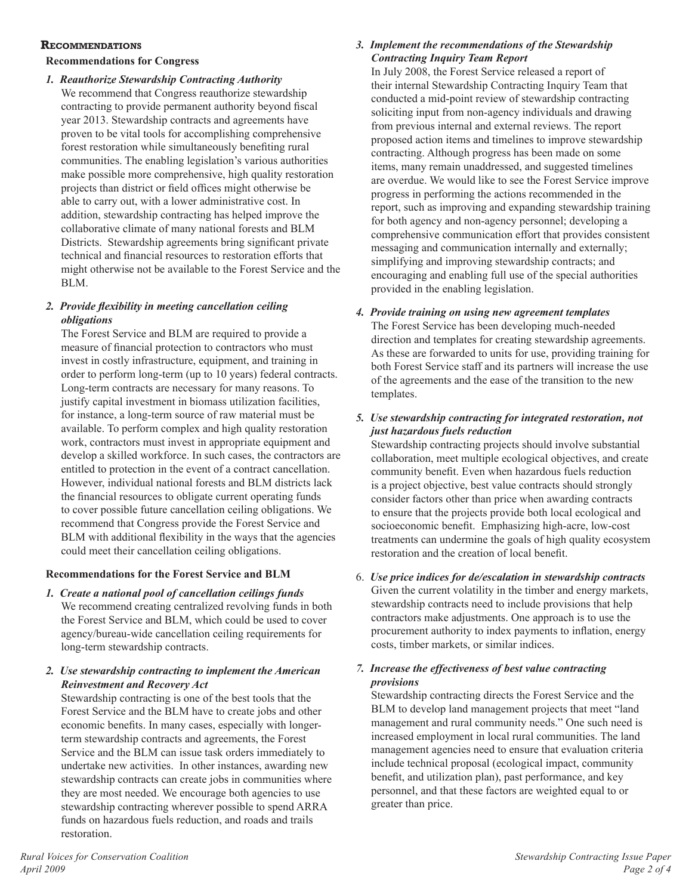## **Recommendations**

# **Recommendations for Congress**

*1. Reauthorize Stewardship Contracting Authority* We recommend that Congress reauthorize stewardship contracting to provide permanent authority beyond fiscal year 2013. Stewardship contracts and agreements have proven to be vital tools for accomplishing comprehensive forest restoration while simultaneously benefiting rural communities. The enabling legislation's various authorities make possible more comprehensive, high quality restoration projects than district or field offices might otherwise be able to carry out, with a lower administrative cost. In addition, stewardship contracting has helped improve the collaborative climate of many national forests and BLM Districts. Stewardship agreements bring significant private technical and financial resources to restoration efforts that might otherwise not be available to the Forest Service and the BLM.

# *2. Provide flexibility in meeting cancellation ceiling obligations*

The Forest Service and BLM are required to provide a measure of financial protection to contractors who must invest in costly infrastructure, equipment, and training in order to perform long-term (up to 10 years) federal contracts. Long-term contracts are necessary for many reasons. To justify capital investment in biomass utilization facilities, for instance, a long-term source of raw material must be available. To perform complex and high quality restoration work, contractors must invest in appropriate equipment and develop a skilled workforce. In such cases, the contractors are entitled to protection in the event of a contract cancellation. However, individual national forests and BLM districts lack the financial resources to obligate current operating funds to cover possible future cancellation ceiling obligations. We recommend that Congress provide the Forest Service and BLM with additional flexibility in the ways that the agencies could meet their cancellation ceiling obligations.

# **Recommendations for the Forest Service and BLM**

- *1. Create a national pool of cancellation ceilings funds*  We recommend creating centralized revolving funds in both the Forest Service and BLM, which could be used to cover agency/bureau-wide cancellation ceiling requirements for long-term stewardship contracts.
- *2. Use stewardship contracting to implement the American Reinvestment and Recovery Act*

Stewardship contracting is one of the best tools that the Forest Service and the BLM have to create jobs and other economic benefits. In many cases, especially with longerterm stewardship contracts and agreements, the Forest Service and the BLM can issue task orders immediately to undertake new activities. In other instances, awarding new stewardship contracts can create jobs in communities where they are most needed. We encourage both agencies to use stewardship contracting wherever possible to spend ARRA funds on hazardous fuels reduction, and roads and trails restoration.

# *3. Implement the recommendations of the Stewardship Contracting Inquiry Team Report*

In July 2008, the Forest Service released a report of their internal Stewardship Contracting Inquiry Team that conducted a mid-point review of stewardship contracting soliciting input from non-agency individuals and drawing from previous internal and external reviews. The report proposed action items and timelines to improve stewardship contracting. Although progress has been made on some items, many remain unaddressed, and suggested timelines are overdue. We would like to see the Forest Service improve progress in performing the actions recommended in the report, such as improving and expanding stewardship training for both agency and non-agency personnel; developing a comprehensive communication effort that provides consistent messaging and communication internally and externally; simplifying and improving stewardship contracts; and encouraging and enabling full use of the special authorities provided in the enabling legislation.

# *4. Provide training on using new agreement templates*

The Forest Service has been developing much-needed direction and templates for creating stewardship agreements. As these are forwarded to units for use, providing training for both Forest Service staff and its partners will increase the use of the agreements and the ease of the transition to the new templates.

# *5. Use stewardship contracting for integrated restoration, not just hazardous fuels reduction*

Stewardship contracting projects should involve substantial collaboration, meet multiple ecological objectives, and create community benefit. Even when hazardous fuels reduction is a project objective, best value contracts should strongly consider factors other than price when awarding contracts to ensure that the projects provide both local ecological and socioeconomic benefit. Emphasizing high-acre, low-cost treatments can undermine the goals of high quality ecosystem restoration and the creation of local benefit.

6. *Use price indices for de/escalation in stewardship contracts* Given the current volatility in the timber and energy markets, stewardship contracts need to include provisions that help contractors make adjustments. One approach is to use the procurement authority to index payments to inflation, energy costs, timber markets, or similar indices.

## *7. Increase the effectiveness of best value contracting provisions*

Stewardship contracting directs the Forest Service and the BLM to develop land management projects that meet "land management and rural community needs." One such need is increased employment in local rural communities. The land management agencies need to ensure that evaluation criteria include technical proposal (ecological impact, community benefit, and utilization plan), past performance, and key personnel, and that these factors are weighted equal to or greater than price.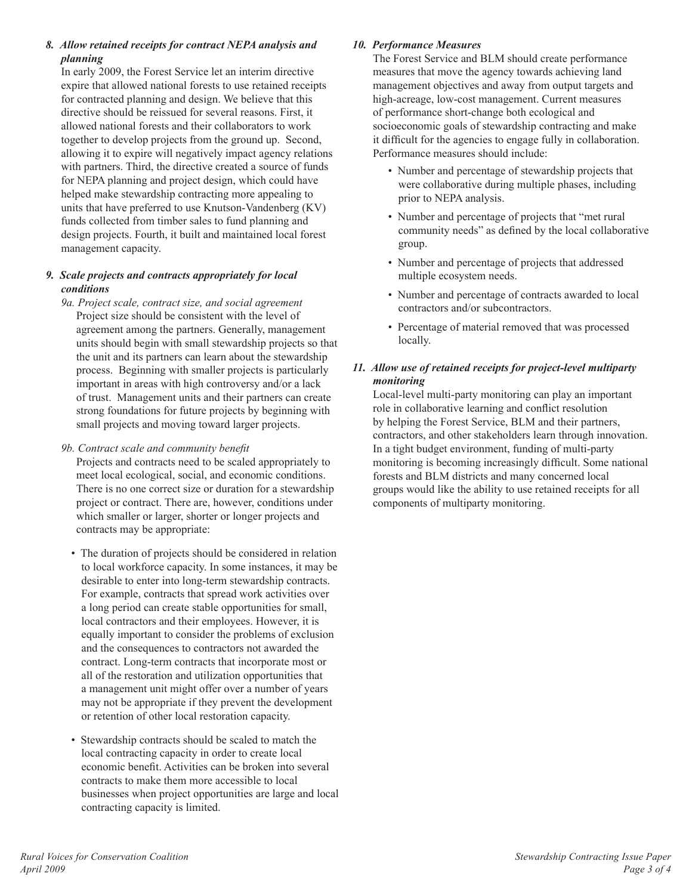# *8. Allow retained receipts for contract NEPA analysis and planning*

In early 2009, the Forest Service let an interim directive expire that allowed national forests to use retained receipts for contracted planning and design. We believe that this directive should be reissued for several reasons. First, it allowed national forests and their collaborators to work together to develop projects from the ground up. Second, allowing it to expire will negatively impact agency relations with partners. Third, the directive created a source of funds for NEPA planning and project design, which could have helped make stewardship contracting more appealing to units that have preferred to use Knutson-Vandenberg (KV) funds collected from timber sales to fund planning and design projects. Fourth, it built and maintained local forest management capacity.

# *9. Scale projects and contracts appropriately for local conditions*

- *9a. Project scale, contract size, and social agreement*  Project size should be consistent with the level of agreement among the partners. Generally, management units should begin with small stewardship projects so that the unit and its partners can learn about the stewardship process. Beginning with smaller projects is particularly important in areas with high controversy and/or a lack of trust. Management units and their partners can create strong foundations for future projects by beginning with small projects and moving toward larger projects.
- *9b. Contract scale and community benefit* Projects and contracts need to be scaled appropriately to meet local ecological, social, and economic conditions. There is no one correct size or duration for a stewardship project or contract. There are, however, conditions under which smaller or larger, shorter or longer projects and contracts may be appropriate:
	- The duration of projects should be considered in relation to local workforce capacity. In some instances, it may be desirable to enter into long-term stewardship contracts. For example, contracts that spread work activities over a long period can create stable opportunities for small, local contractors and their employees. However, it is equally important to consider the problems of exclusion and the consequences to contractors not awarded the contract. Long-term contracts that incorporate most or all of the restoration and utilization opportunities that a management unit might offer over a number of years may not be appropriate if they prevent the development or retention of other local restoration capacity.
	- Stewardship contracts should be scaled to match the local contracting capacity in order to create local economic benefit. Activities can be broken into several contracts to make them more accessible to local businesses when project opportunities are large and local contracting capacity is limited.

# *10. Performance Measures*

The Forest Service and BLM should create performance measures that move the agency towards achieving land management objectives and away from output targets and high-acreage, low-cost management. Current measures of performance short-change both ecological and socioeconomic goals of stewardship contracting and make it difficult for the agencies to engage fully in collaboration. Performance measures should include:

- Number and percentage of stewardship projects that were collaborative during multiple phases, including prior to NEPA analysis.
- Number and percentage of projects that "met rural community needs" as defined by the local collaborative group.
- Number and percentage of projects that addressed multiple ecosystem needs.
- Number and percentage of contracts awarded to local contractors and/or subcontractors.
- Percentage of material removed that was processed locally.

# *11. Allow use of retained receipts for project-level multiparty monitoring*

Local-level multi-party monitoring can play an important role in collaborative learning and conflict resolution by helping the Forest Service, BLM and their partners, contractors, and other stakeholders learn through innovation. In a tight budget environment, funding of multi-party monitoring is becoming increasingly difficult. Some national forests and BLM districts and many concerned local groups would like the ability to use retained receipts for all components of multiparty monitoring.